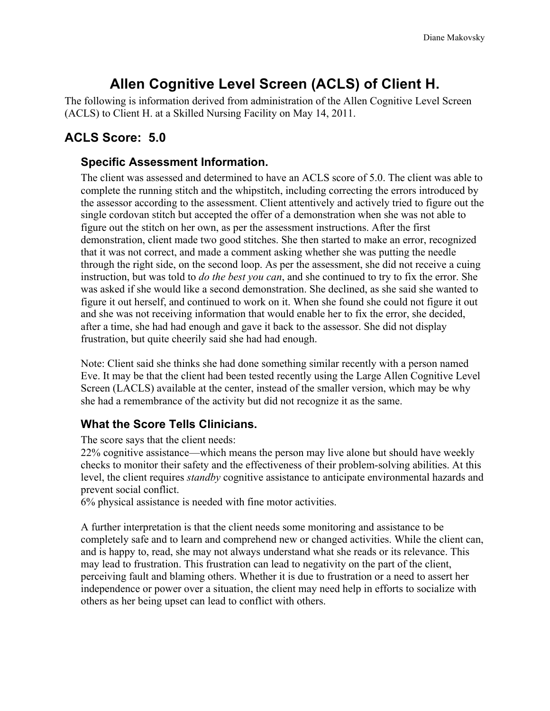# **Allen Cognitive Level Screen (ACLS) of Client H.**

The following is information derived from administration of the Allen Cognitive Level Screen (ACLS) to Client H. at a Skilled Nursing Facility on May 14, 2011.

## **ACLS Score: 5.0**

## **Specific Assessment Information.**

The client was assessed and determined to have an ACLS score of 5.0. The client was able to complete the running stitch and the whipstitch, including correcting the errors introduced by the assessor according to the assessment. Client attentively and actively tried to figure out the single cordovan stitch but accepted the offer of a demonstration when she was not able to figure out the stitch on her own, as per the assessment instructions. After the first demonstration, client made two good stitches. She then started to make an error, recognized that it was not correct, and made a comment asking whether she was putting the needle through the right side, on the second loop. As per the assessment, she did not receive a cuing instruction, but was told to *do the best you can*, and she continued to try to fix the error. She was asked if she would like a second demonstration. She declined, as she said she wanted to figure it out herself, and continued to work on it. When she found she could not figure it out and she was not receiving information that would enable her to fix the error, she decided, after a time, she had had enough and gave it back to the assessor. She did not display frustration, but quite cheerily said she had had enough.

Note: Client said she thinks she had done something similar recently with a person named Eve. It may be that the client had been tested recently using the Large Allen Cognitive Level Screen (LACLS) available at the center, instead of the smaller version, which may be why she had a remembrance of the activity but did not recognize it as the same.

## **What the Score Tells Clinicians.**

The score says that the client needs:

22% cognitive assistance—which means the person may live alone but should have weekly checks to monitor their safety and the effectiveness of their problem-solving abilities. At this level, the client requires *standby* cognitive assistance to anticipate environmental hazards and prevent social conflict.

6% physical assistance is needed with fine motor activities.

A further interpretation is that the client needs some monitoring and assistance to be completely safe and to learn and comprehend new or changed activities. While the client can, and is happy to, read, she may not always understand what she reads or its relevance. This may lead to frustration. This frustration can lead to negativity on the part of the client, perceiving fault and blaming others. Whether it is due to frustration or a need to assert her independence or power over a situation, the client may need help in efforts to socialize with others as her being upset can lead to conflict with others.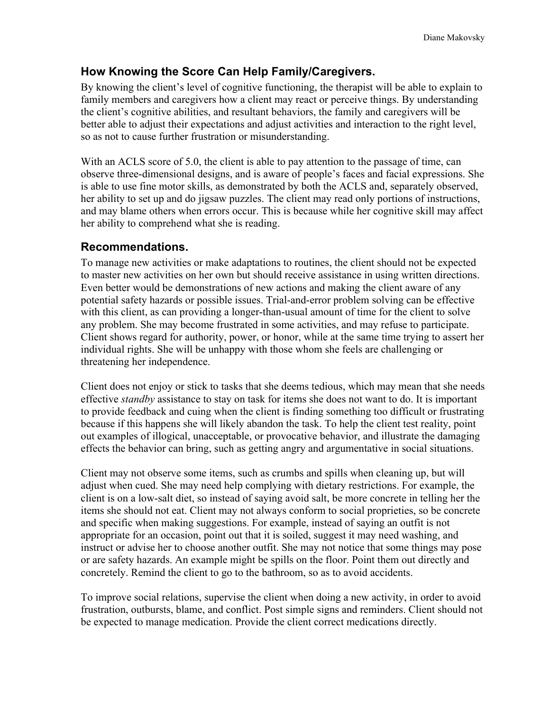## **How Knowing the Score Can Help Family/Caregivers.**

By knowing the client's level of cognitive functioning, the therapist will be able to explain to family members and caregivers how a client may react or perceive things. By understanding the client's cognitive abilities, and resultant behaviors, the family and caregivers will be better able to adjust their expectations and adjust activities and interaction to the right level, so as not to cause further frustration or misunderstanding.

With an ACLS score of 5.0, the client is able to pay attention to the passage of time, can observe three-dimensional designs, and is aware of people's faces and facial expressions. She is able to use fine motor skills, as demonstrated by both the ACLS and, separately observed, her ability to set up and do jigsaw puzzles. The client may read only portions of instructions, and may blame others when errors occur. This is because while her cognitive skill may affect her ability to comprehend what she is reading.

#### **Recommendations.**

To manage new activities or make adaptations to routines, the client should not be expected to master new activities on her own but should receive assistance in using written directions. Even better would be demonstrations of new actions and making the client aware of any potential safety hazards or possible issues. Trial-and-error problem solving can be effective with this client, as can providing a longer-than-usual amount of time for the client to solve any problem. She may become frustrated in some activities, and may refuse to participate. Client shows regard for authority, power, or honor, while at the same time trying to assert her individual rights. She will be unhappy with those whom she feels are challenging or threatening her independence.

Client does not enjoy or stick to tasks that she deems tedious, which may mean that she needs effective *standby* assistance to stay on task for items she does not want to do. It is important to provide feedback and cuing when the client is finding something too difficult or frustrating because if this happens she will likely abandon the task. To help the client test reality, point out examples of illogical, unacceptable, or provocative behavior, and illustrate the damaging effects the behavior can bring, such as getting angry and argumentative in social situations.

Client may not observe some items, such as crumbs and spills when cleaning up, but will adjust when cued. She may need help complying with dietary restrictions. For example, the client is on a low-salt diet, so instead of saying avoid salt, be more concrete in telling her the items she should not eat. Client may not always conform to social proprieties, so be concrete and specific when making suggestions. For example, instead of saying an outfit is not appropriate for an occasion, point out that it is soiled, suggest it may need washing, and instruct or advise her to choose another outfit. She may not notice that some things may pose or are safety hazards. An example might be spills on the floor. Point them out directly and concretely. Remind the client to go to the bathroom, so as to avoid accidents.

To improve social relations, supervise the client when doing a new activity, in order to avoid frustration, outbursts, blame, and conflict. Post simple signs and reminders. Client should not be expected to manage medication. Provide the client correct medications directly.